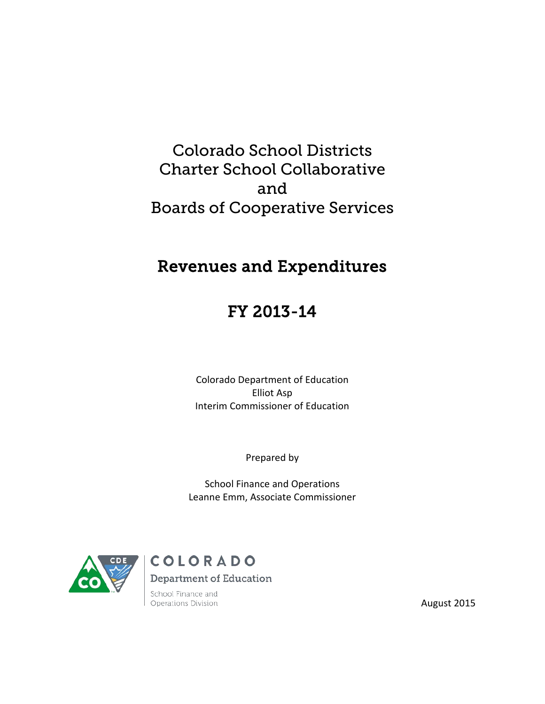# Colorado School Districts Charter School Collaborative and Boards of Cooperative Services

# Revenues and Expenditures

# FY 2013-14

Colorado Department of Education Elliot Asp Interim Commissioner of Education

Prepared by

School Finance and Operations Leanne Emm, Associate Commissioner



COLORADO **Department of Education** 

School Finance and Operations Division

August 2015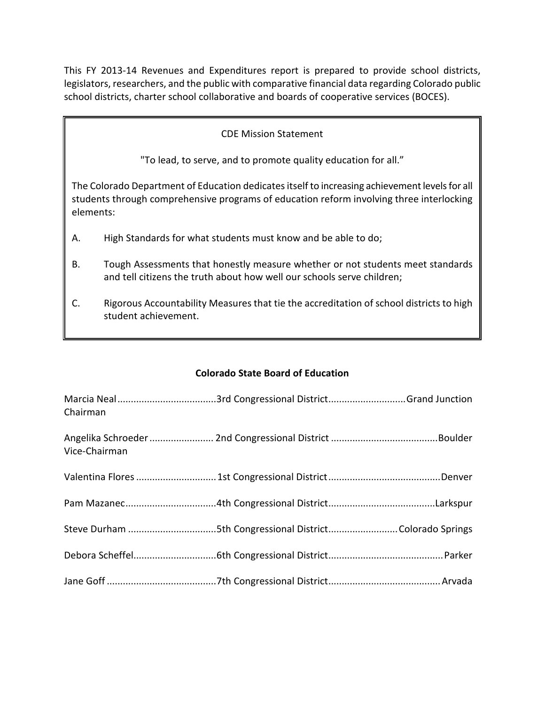This FY 2013-14 Revenues and Expenditures report is prepared to provide school districts, legislators, researchers, and the public with comparative financial data regarding Colorado public school districts, charter school collaborative and boards of cooperative services (BOCES).

# CDE Mission Statement

"To lead, to serve, and to promote quality education for all."

The Colorado Department of Education dedicates itself to increasing achievement levels for all students through comprehensive programs of education reform involving three interlocking elements:

- A. High Standards for what students must know and be able to do;
- B. Tough Assessments that honestly measure whether or not students meet standards and tell citizens the truth about how well our schools serve children;
- C. Rigorous Accountability Measures that tie the accreditation of school districts to high student achievement.

# **Colorado State Board of Education**

| Chairman      |  |
|---------------|--|
| Vice-Chairman |  |
|               |  |
|               |  |
|               |  |
|               |  |
|               |  |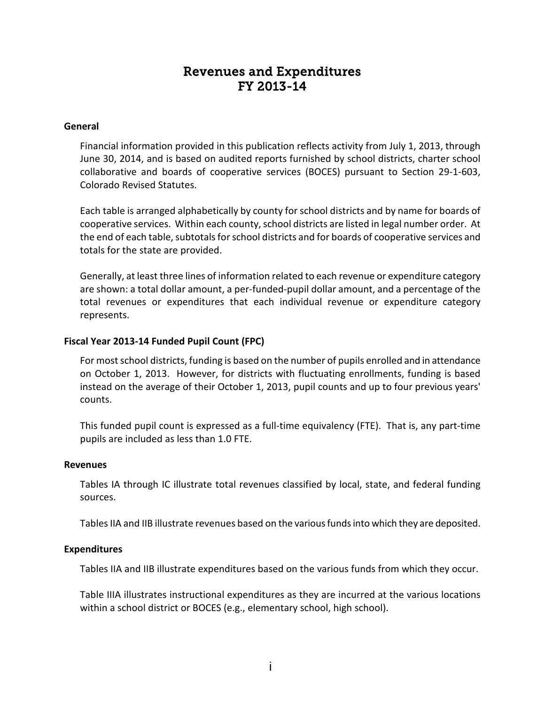# Revenues and Expenditures FY 2013-14

#### **General**

Financial information provided in this publication reflects activity from July 1, 2013, through June 30, 2014, and is based on audited reports furnished by school districts, charter school collaborative and boards of cooperative services (BOCES) pursuant to Section 29-1-603, Colorado Revised Statutes.

Each table is arranged alphabetically by county for school districts and by name for boards of cooperative services. Within each county, school districts are listed in legal number order. At the end of each table, subtotals for school districts and for boards of cooperative services and totals for the state are provided.

Generally, at least three lines of information related to each revenue or expenditure category are shown: a total dollar amount, a per-funded-pupil dollar amount, and a percentage of the total revenues or expenditures that each individual revenue or expenditure category represents.

#### **Fiscal Year 2013-14 Funded Pupil Count (FPC)**

For most school districts, funding is based on the number of pupils enrolled and in attendance on October 1, 2013. However, for districts with fluctuating enrollments, funding is based instead on the average of their October 1, 2013, pupil counts and up to four previous years' counts.

This funded pupil count is expressed as a full-time equivalency (FTE). That is, any part-time pupils are included as less than 1.0 FTE.

#### **Revenues**

Tables IA through IC illustrate total revenues classified by local, state, and federal funding sources.

Tables IIA and IIB illustrate revenues based on the various funds into which they are deposited.

#### **Expenditures**

Tables IIA and IIB illustrate expenditures based on the various funds from which they occur.

Table IIIA illustrates instructional expenditures as they are incurred at the various locations within a school district or BOCES (e.g., elementary school, high school).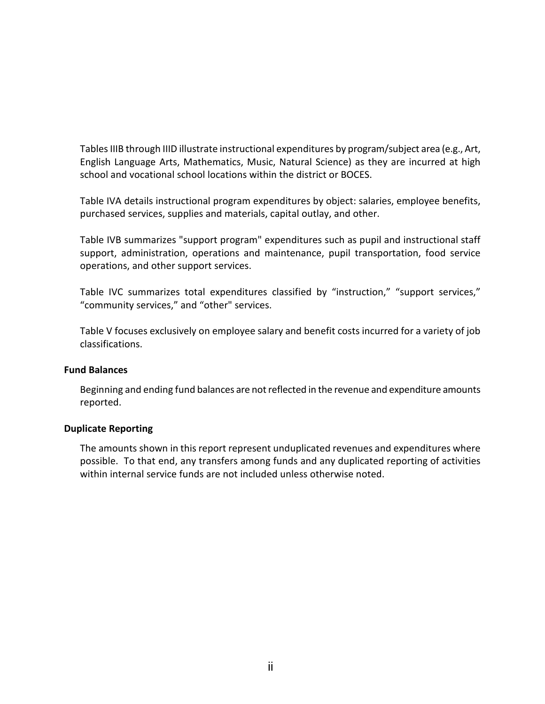Tables IIIB through IIID illustrate instructional expenditures by program/subject area (e.g., Art, English Language Arts, Mathematics, Music, Natural Science) as they are incurred at high school and vocational school locations within the district or BOCES.

Table IVA details instructional program expenditures by object: salaries, employee benefits, purchased services, supplies and materials, capital outlay, and other.

Table IVB summarizes "support program" expenditures such as pupil and instructional staff support, administration, operations and maintenance, pupil transportation, food service operations, and other support services.

Table IVC summarizes total expenditures classified by "instruction," "support services," "community services," and "other" services.

Table V focuses exclusively on employee salary and benefit costs incurred for a variety of job classifications.

# **Fund Balances**

Beginning and ending fund balances are not reflected in the revenue and expenditure amounts reported.

# **Duplicate Reporting**

The amounts shown in this report represent unduplicated revenues and expenditures where possible. To that end, any transfers among funds and any duplicated reporting of activities within internal service funds are not included unless otherwise noted.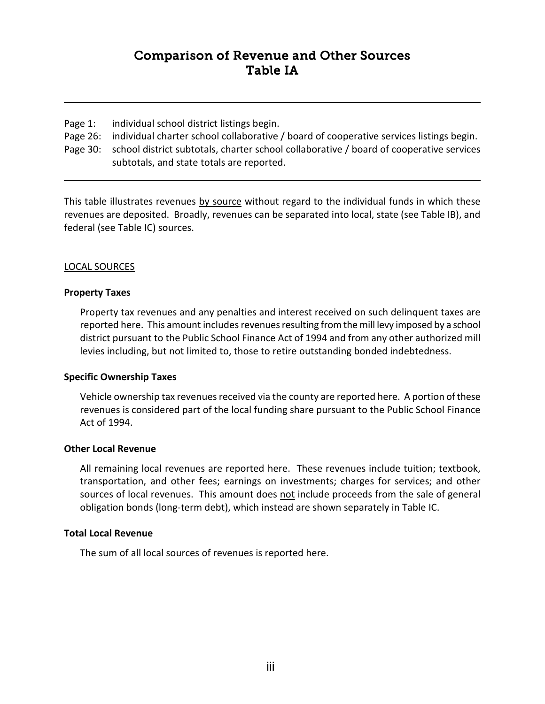# Comparison of Revenue and Other Sources Table IA

- Page 1: individual school district listings begin.
- Page 26: individual charter school collaborative / board of cooperative services listings begin.
- Page 30: school district subtotals, charter school collaborative / board of cooperative services subtotals, and state totals are reported.

This table illustrates revenues by source without regard to the individual funds in which these revenues are deposited. Broadly, revenues can be separated into local, state (see Table IB), and federal (see Table IC) sources.

# LOCAL SOURCES

# **Property Taxes**

Property tax revenues and any penalties and interest received on such delinquent taxes are reported here. This amount includes revenues resulting from the mill levy imposed by a school district pursuant to the Public School Finance Act of 1994 and from any other authorized mill levies including, but not limited to, those to retire outstanding bonded indebtedness.

# **Specific Ownership Taxes**

Vehicle ownership tax revenues received via the county are reported here. A portion of these revenues is considered part of the local funding share pursuant to the Public School Finance Act of 1994.

# **Other Local Revenue**

All remaining local revenues are reported here. These revenues include tuition; textbook, transportation, and other fees; earnings on investments; charges for services; and other sources of local revenues. This amount does not include proceeds from the sale of general obligation bonds (long-term debt), which instead are shown separately in Table IC.

# **Total Local Revenue**

The sum of all local sources of revenues is reported here.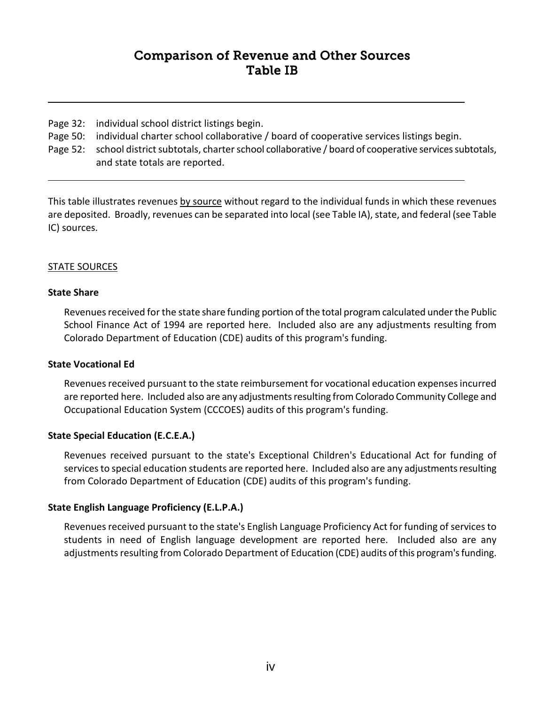# Comparison of Revenue and Other Sources Table IB

- Page 32: individual school district listings begin.
- Page 50: individual charter school collaborative / board of cooperative services listings begin.
- Page 52: school district subtotals, charter school collaborative / board of cooperative services subtotals, and state totals are reported.

This table illustrates revenues by source without regard to the individual funds in which these revenues are deposited. Broadly, revenues can be separated into local (see Table IA), state, and federal (see Table IC) sources.

# STATE SOURCES

# **State Share**

Revenues received for the state share funding portion of the total program calculated under the Public School Finance Act of 1994 are reported here. Included also are any adjustments resulting from Colorado Department of Education (CDE) audits of this program's funding.

# **State Vocational Ed**

Revenues received pursuant to the state reimbursement for vocational education expenses incurred are reported here. Included also are any adjustments resulting from Colorado Community College and Occupational Education System (CCCOES) audits of this program's funding.

# **State Special Education (E.C.E.A.)**

Revenues received pursuant to the state's Exceptional Children's Educational Act for funding of services to special education students are reported here. Included also are any adjustments resulting from Colorado Department of Education (CDE) audits of this program's funding.

# **State English Language Proficiency (E.L.P.A.)**

Revenues received pursuant to the state's English Language Proficiency Act for funding of services to students in need of English language development are reported here. Included also are any adjustments resulting from Colorado Department of Education (CDE) audits of this program's funding.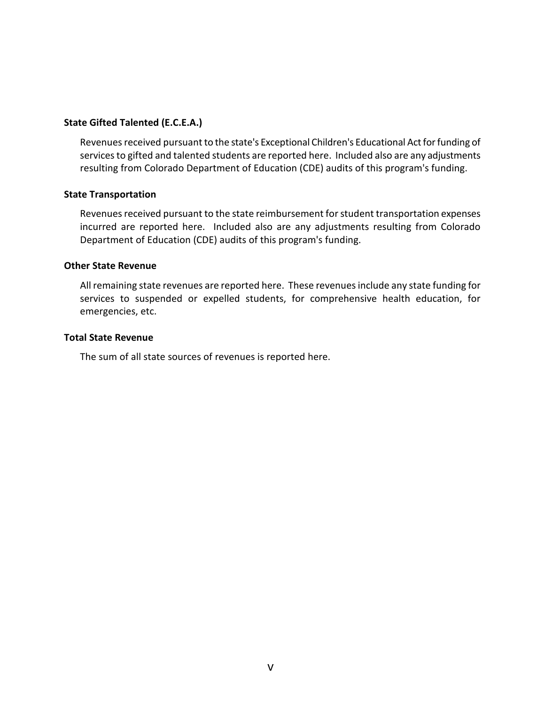# **State Gifted Talented (E.C.E.A.)**

Revenues received pursuant to the state's Exceptional Children's Educational Act for funding of services to gifted and talented students are reported here. Included also are any adjustments resulting from Colorado Department of Education (CDE) audits of this program's funding.

#### **State Transportation**

Revenues received pursuant to the state reimbursement for student transportation expenses incurred are reported here. Included also are any adjustments resulting from Colorado Department of Education (CDE) audits of this program's funding.

#### **Other State Revenue**

All remaining state revenues are reported here. These revenues include any state funding for services to suspended or expelled students, for comprehensive health education, for emergencies, etc.

#### **Total State Revenue**

The sum of all state sources of revenues is reported here.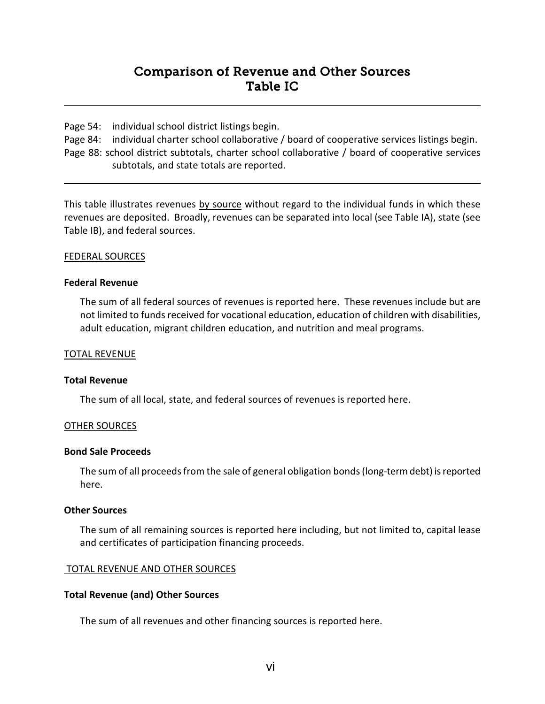# Comparison of Revenue and Other Sources Table IC

Page 54: individual school district listings begin.

Page 84: individual charter school collaborative / board of cooperative services listings begin.

Page 88: school district subtotals, charter school collaborative / board of cooperative services subtotals, and state totals are reported.

This table illustrates revenues by source without regard to the individual funds in which these revenues are deposited. Broadly, revenues can be separated into local (see Table IA), state (see Table IB), and federal sources.

#### FEDERAL SOURCES

#### **Federal Revenue**

The sum of all federal sources of revenues is reported here. These revenues include but are not limited to funds received for vocational education, education of children with disabilities, adult education, migrant children education, and nutrition and meal programs.

#### TOTAL REVENUE

#### **Total Revenue**

The sum of all local, state, and federal sources of revenues is reported here.

#### OTHER SOURCES

#### **Bond Sale Proceeds**

The sum of all proceeds from the sale of general obligation bonds (long-term debt) is reported here.

#### **Other Sources**

The sum of all remaining sources is reported here including, but not limited to, capital lease and certificates of participation financing proceeds.

# TOTAL REVENUE AND OTHER SOURCES

# **Total Revenue (and) Other Sources**

The sum of all revenues and other financing sources is reported here.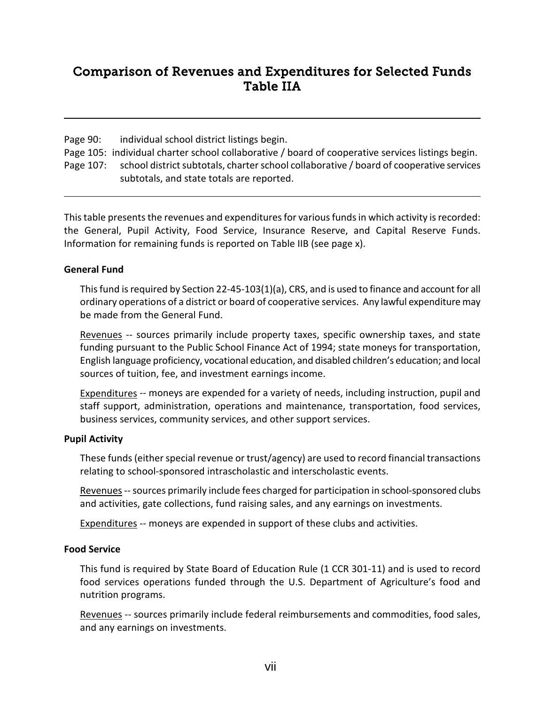# Comparison of Revenues and Expenditures for Selected Funds Table IIA

Page 90: individual school district listings begin.

Page 105: individual charter school collaborative / board of cooperative services listings begin. Page 107: school district subtotals, charter school collaborative / board of cooperative services subtotals, and state totals are reported.

This table presents the revenues and expenditures for various funds in which activity is recorded: the General, Pupil Activity, Food Service, Insurance Reserve, and Capital Reserve Funds. Information for remaining funds is reported on Table IIB (see page x).

# **General Fund**

This fund is required by Section 22-45-103(1)(a), CRS, and is used to finance and account for all ordinary operations of a district or board of cooperative services. Any lawful expenditure may be made from the General Fund.

Revenues -- sources primarily include property taxes, specific ownership taxes, and state funding pursuant to the Public School Finance Act of 1994; state moneys for transportation, English language proficiency, vocational education, and disabled children's education; and local sources of tuition, fee, and investment earnings income.

Expenditures -- moneys are expended for a variety of needs, including instruction, pupil and staff support, administration, operations and maintenance, transportation, food services, business services, community services, and other support services.

# **Pupil Activity**

These funds (either special revenue or trust/agency) are used to record financial transactions relating to school-sponsored intrascholastic and interscholastic events.

Revenues--sources primarily include fees charged for participation in school-sponsored clubs and activities, gate collections, fund raising sales, and any earnings on investments.

Expenditures -- moneys are expended in support of these clubs and activities.

# **Food Service**

This fund is required by State Board of Education Rule (1 CCR 301-11) and is used to record food services operations funded through the U.S. Department of Agriculture's food and nutrition programs.

Revenues -- sources primarily include federal reimbursements and commodities, food sales, and any earnings on investments.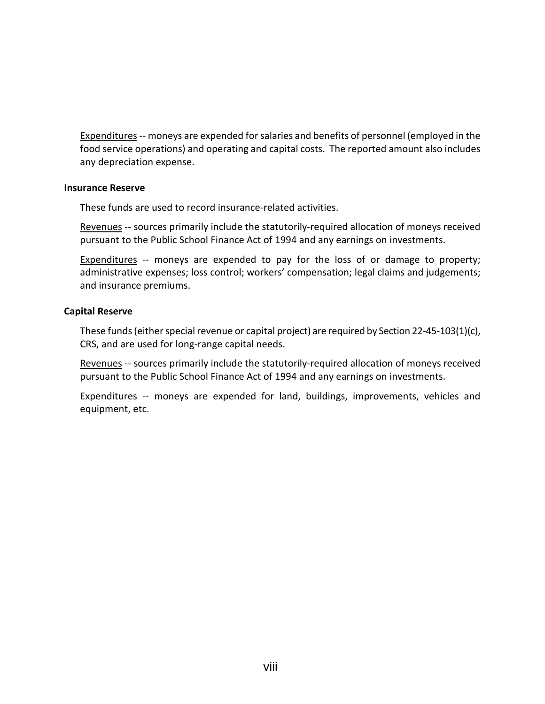Expenditures-- moneys are expended for salaries and benefits of personnel (employed in the food service operations) and operating and capital costs. The reported amount also includes any depreciation expense.

#### **Insurance Reserve**

These funds are used to record insurance-related activities.

Revenues -- sources primarily include the statutorily-required allocation of moneys received pursuant to the Public School Finance Act of 1994 and any earnings on investments.

Expenditures -- moneys are expended to pay for the loss of or damage to property; administrative expenses; loss control; workers' compensation; legal claims and judgements; and insurance premiums.

# **Capital Reserve**

These funds (either special revenue or capital project) are required by Section 22-45-103(1)(c), CRS, and are used for long-range capital needs.

Revenues -- sources primarily include the statutorily-required allocation of moneys received pursuant to the Public School Finance Act of 1994 and any earnings on investments.

Expenditures -- moneys are expended for land, buildings, improvements, vehicles and equipment, etc.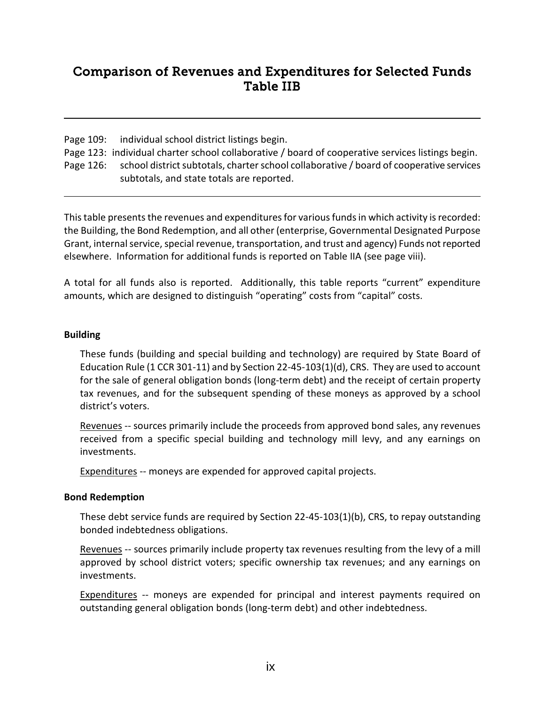# Comparison of Revenues and Expenditures for Selected Funds Table IIB

Page 109: individual school district listings begin.

Page 123: individual charter school collaborative / board of cooperative services listings begin.

Page 126: school district subtotals, charter school collaborative / board of cooperative services subtotals, and state totals are reported.

This table presents the revenues and expenditures for various funds in which activity is recorded: the Building, the Bond Redemption, and all other (enterprise, Governmental Designated Purpose Grant, internal service, special revenue, transportation, and trust and agency) Funds not reported elsewhere. Information for additional funds is reported on Table IIA (see page viii).

A total for all funds also is reported. Additionally, this table reports "current" expenditure amounts, which are designed to distinguish "operating" costs from "capital" costs.

# **Building**

These funds (building and special building and technology) are required by State Board of Education Rule (1 CCR 301-11) and by Section 22-45-103(1)(d), CRS. They are used to account for the sale of general obligation bonds (long-term debt) and the receipt of certain property tax revenues, and for the subsequent spending of these moneys as approved by a school district's voters.

Revenues -- sources primarily include the proceeds from approved bond sales, any revenues received from a specific special building and technology mill levy, and any earnings on investments.

Expenditures -- moneys are expended for approved capital projects.

# **Bond Redemption**

These debt service funds are required by Section 22-45-103(1)(b), CRS, to repay outstanding bonded indebtedness obligations.

Revenues -- sources primarily include property tax revenues resulting from the levy of a mill approved by school district voters; specific ownership tax revenues; and any earnings on investments.

Expenditures -- moneys are expended for principal and interest payments required on outstanding general obligation bonds (long-term debt) and other indebtedness.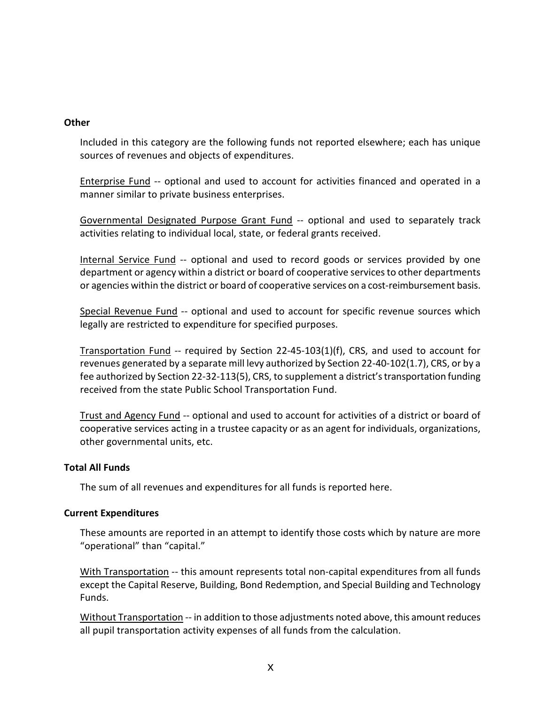### **Other**

Included in this category are the following funds not reported elsewhere; each has unique sources of revenues and objects of expenditures.

Enterprise Fund -- optional and used to account for activities financed and operated in a manner similar to private business enterprises.

Governmental Designated Purpose Grant Fund -- optional and used to separately track activities relating to individual local, state, or federal grants received.

Internal Service Fund -- optional and used to record goods or services provided by one department or agency within a district or board of cooperative services to other departments or agencies within the district or board of cooperative services on a cost-reimbursement basis.

Special Revenue Fund -- optional and used to account for specific revenue sources which legally are restricted to expenditure for specified purposes.

Transportation Fund -- required by Section 22-45-103(1)(f), CRS, and used to account for revenues generated by a separate mill levy authorized by Section 22-40-102(1.7), CRS, or by a fee authorized by Section 22-32-113(5), CRS, to supplement a district's transportation funding received from the state Public School Transportation Fund.

Trust and Agency Fund -- optional and used to account for activities of a district or board of cooperative services acting in a trustee capacity or as an agent for individuals, organizations, other governmental units, etc.

# **Total All Funds**

The sum of all revenues and expenditures for all funds is reported here.

#### **Current Expenditures**

These amounts are reported in an attempt to identify those costs which by nature are more "operational" than "capital."

With Transportation -- this amount represents total non-capital expenditures from all funds except the Capital Reserve, Building, Bond Redemption, and Special Building and Technology Funds.

Without Transportation -- in addition to those adjustments noted above, this amount reduces all pupil transportation activity expenses of all funds from the calculation.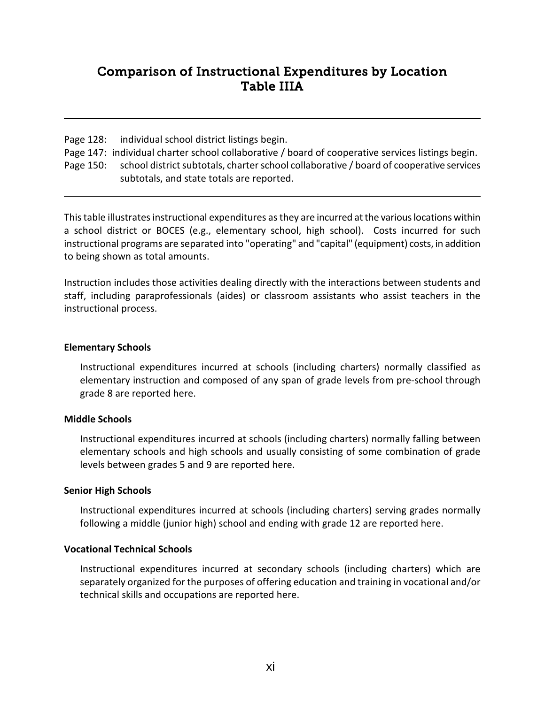# Comparison of Instructional Expenditures by Location Table IIIA

Page 128: individual school district listings begin.

Page 147: individual charter school collaborative / board of cooperative services listings begin.

Page 150: school district subtotals, charter school collaborative / board of cooperative services subtotals, and state totals are reported.

This table illustrates instructional expenditures as they are incurred at the various locations within a school district or BOCES (e.g., elementary school, high school). Costs incurred for such instructional programs are separated into "operating" and "capital" (equipment) costs, in addition to being shown as total amounts.

Instruction includes those activities dealing directly with the interactions between students and staff, including paraprofessionals (aides) or classroom assistants who assist teachers in the instructional process.

# **Elementary Schools**

Instructional expenditures incurred at schools (including charters) normally classified as elementary instruction and composed of any span of grade levels from pre-school through grade 8 are reported here.

# **Middle Schools**

Instructional expenditures incurred at schools (including charters) normally falling between elementary schools and high schools and usually consisting of some combination of grade levels between grades 5 and 9 are reported here.

# **Senior High Schools**

Instructional expenditures incurred at schools (including charters) serving grades normally following a middle (junior high) school and ending with grade 12 are reported here.

# **Vocational Technical Schools**

Instructional expenditures incurred at secondary schools (including charters) which are separately organized for the purposes of offering education and training in vocational and/or technical skills and occupations are reported here.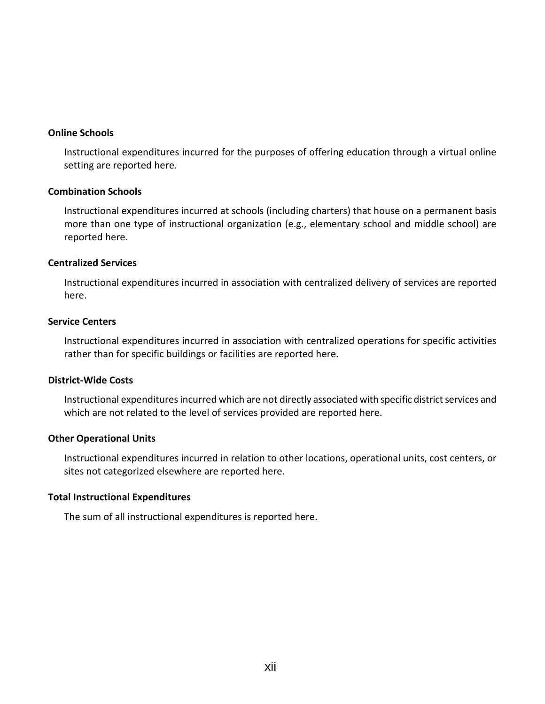#### **Online Schools**

Instructional expenditures incurred for the purposes of offering education through a virtual online setting are reported here.

### **Combination Schools**

Instructional expenditures incurred at schools (including charters) that house on a permanent basis more than one type of instructional organization (e.g., elementary school and middle school) are reported here.

#### **Centralized Services**

Instructional expenditures incurred in association with centralized delivery of services are reported here.

#### **Service Centers**

Instructional expenditures incurred in association with centralized operations for specific activities rather than for specific buildings or facilities are reported here.

#### **District-Wide Costs**

Instructional expenditures incurred which are not directly associated with specific district services and which are not related to the level of services provided are reported here.

#### **Other Operational Units**

Instructional expenditures incurred in relation to other locations, operational units, cost centers, or sites not categorized elsewhere are reported here.

#### **Total Instructional Expenditures**

The sum of all instructional expenditures is reported here.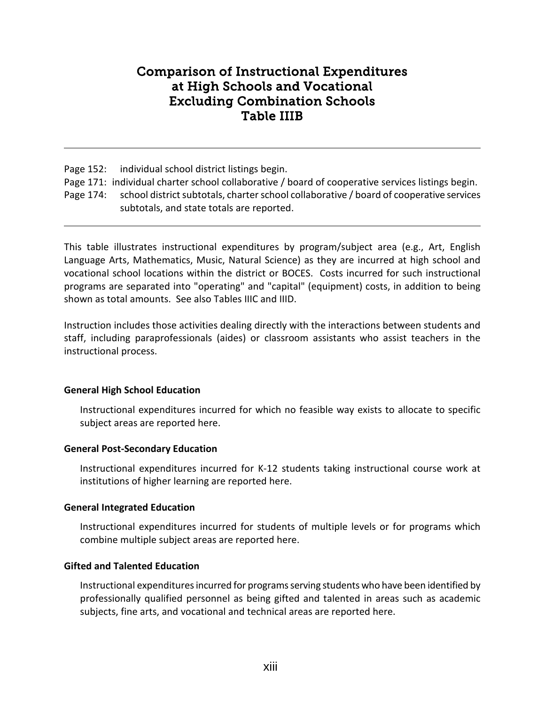# Comparison of Instructional Expenditures at High Schools and Vocational Excluding Combination Schools Table IIIB

Page 152: individual school district listings begin.

- Page 171: individual charter school collaborative / board of cooperative services listings begin.
- Page 174: school district subtotals, charter school collaborative / board of cooperative services subtotals, and state totals are reported.

This table illustrates instructional expenditures by program/subject area (e.g., Art, English Language Arts, Mathematics, Music, Natural Science) as they are incurred at high school and vocational school locations within the district or BOCES. Costs incurred for such instructional programs are separated into "operating" and "capital" (equipment) costs, in addition to being shown as total amounts. See also Tables IIIC and IIID.

Instruction includes those activities dealing directly with the interactions between students and staff, including paraprofessionals (aides) or classroom assistants who assist teachers in the instructional process.

# **General High School Education**

Instructional expenditures incurred for which no feasible way exists to allocate to specific subject areas are reported here.

# **General Post-Secondary Education**

Instructional expenditures incurred for K-12 students taking instructional course work at institutions of higher learning are reported here.

# **General Integrated Education**

Instructional expenditures incurred for students of multiple levels or for programs which combine multiple subject areas are reported here.

# **Gifted and Talented Education**

Instructional expenditures incurred for programs serving students who have been identified by professionally qualified personnel as being gifted and talented in areas such as academic subjects, fine arts, and vocational and technical areas are reported here.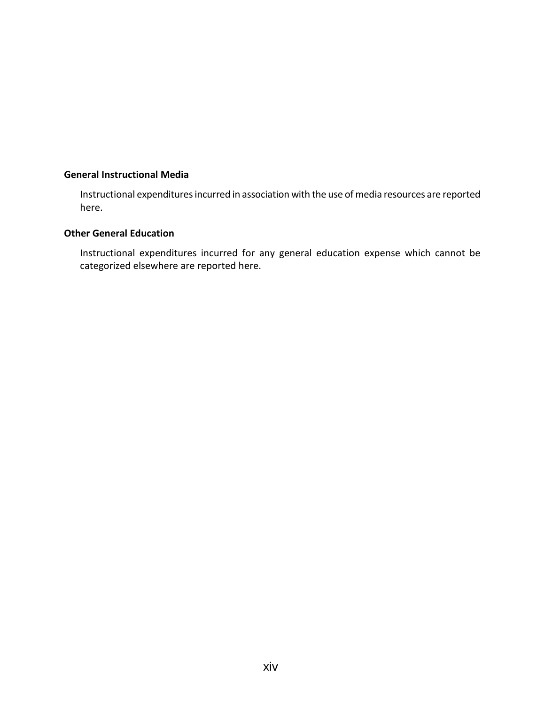# **General Instructional Media**

Instructional expenditures incurred in association with the use of media resources are reported here.

#### **Other General Education**

Instructional expenditures incurred for any general education expense which cannot be categorized elsewhere are reported here.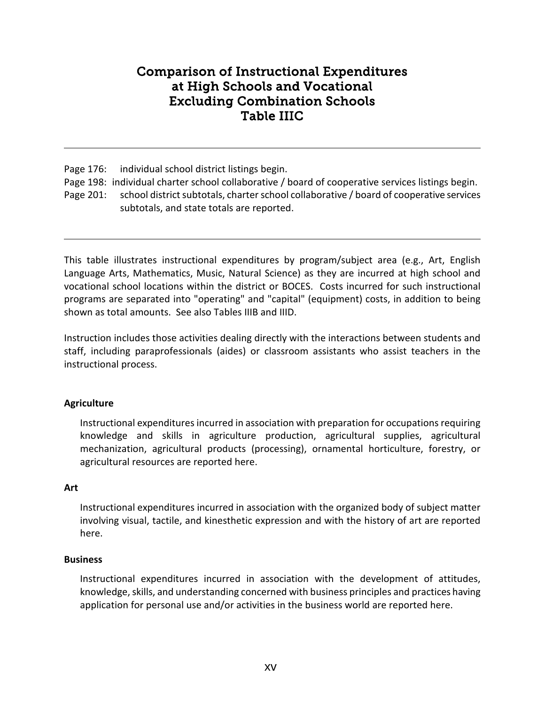# Comparison of Instructional Expenditures at High Schools and Vocational Excluding Combination Schools Table IIIC

Page 176: individual school district listings begin.

- Page 198: individual charter school collaborative / board of cooperative services listings begin.
- Page 201: school district subtotals, charter school collaborative / board of cooperative services subtotals, and state totals are reported.

This table illustrates instructional expenditures by program/subject area (e.g., Art, English Language Arts, Mathematics, Music, Natural Science) as they are incurred at high school and vocational school locations within the district or BOCES. Costs incurred for such instructional programs are separated into "operating" and "capital" (equipment) costs, in addition to being shown as total amounts. See also Tables IIIB and IIID.

Instruction includes those activities dealing directly with the interactions between students and staff, including paraprofessionals (aides) or classroom assistants who assist teachers in the instructional process.

# **Agriculture**

Instructional expenditures incurred in association with preparation for occupations requiring knowledge and skills in agriculture production, agricultural supplies, agricultural mechanization, agricultural products (processing), ornamental horticulture, forestry, or agricultural resources are reported here.

# **Art**

Instructional expenditures incurred in association with the organized body of subject matter involving visual, tactile, and kinesthetic expression and with the history of art are reported here.

# **Business**

Instructional expenditures incurred in association with the development of attitudes, knowledge, skills, and understanding concerned with business principles and practices having application for personal use and/or activities in the business world are reported here.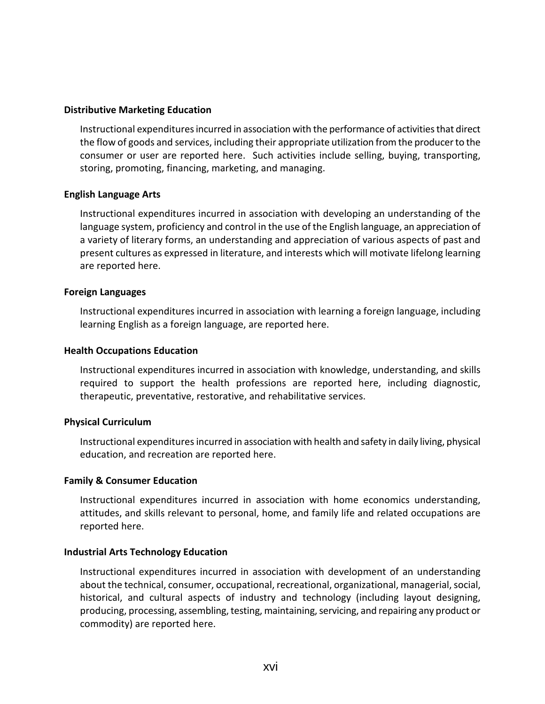### **Distributive Marketing Education**

Instructional expenditures incurred in association with the performance of activities that direct the flow of goods and services, including their appropriate utilization from the producer to the consumer or user are reported here. Such activities include selling, buying, transporting, storing, promoting, financing, marketing, and managing.

#### **English Language Arts**

Instructional expenditures incurred in association with developing an understanding of the language system, proficiency and control in the use of the English language, an appreciation of a variety of literary forms, an understanding and appreciation of various aspects of past and present cultures as expressed in literature, and interests which will motivate lifelong learning are reported here.

#### **Foreign Languages**

Instructional expenditures incurred in association with learning a foreign language, including learning English as a foreign language, are reported here.

#### **Health Occupations Education**

Instructional expenditures incurred in association with knowledge, understanding, and skills required to support the health professions are reported here, including diagnostic, therapeutic, preventative, restorative, and rehabilitative services.

#### **Physical Curriculum**

Instructional expenditures incurred in association with health and safety in daily living, physical education, and recreation are reported here.

#### **Family & Consumer Education**

Instructional expenditures incurred in association with home economics understanding, attitudes, and skills relevant to personal, home, and family life and related occupations are reported here.

#### **Industrial Arts Technology Education**

Instructional expenditures incurred in association with development of an understanding about the technical, consumer, occupational, recreational, organizational, managerial, social, historical, and cultural aspects of industry and technology (including layout designing, producing, processing, assembling, testing, maintaining, servicing, and repairing any product or commodity) are reported here.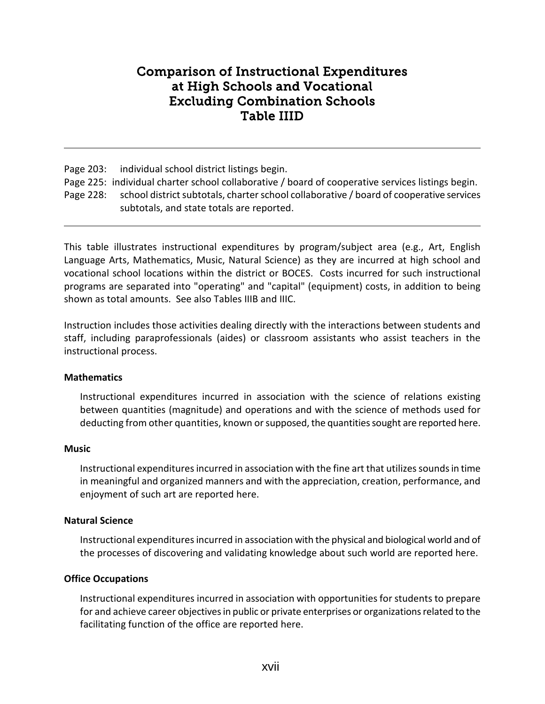# Comparison of Instructional Expenditures at High Schools and Vocational Excluding Combination Schools Table IIID

Page 203: individual school district listings begin.

- Page 225: individual charter school collaborative / board of cooperative services listings begin.
- Page 228: school district subtotals, charter school collaborative / board of cooperative services subtotals, and state totals are reported.

This table illustrates instructional expenditures by program/subject area (e.g., Art, English Language Arts, Mathematics, Music, Natural Science) as they are incurred at high school and vocational school locations within the district or BOCES. Costs incurred for such instructional programs are separated into "operating" and "capital" (equipment) costs, in addition to being shown as total amounts. See also Tables IIIB and IIIC.

Instruction includes those activities dealing directly with the interactions between students and staff, including paraprofessionals (aides) or classroom assistants who assist teachers in the instructional process.

# **Mathematics**

Instructional expenditures incurred in association with the science of relations existing between quantities (magnitude) and operations and with the science of methods used for deducting from other quantities, known or supposed, the quantities sought are reported here.

# **Music**

Instructional expenditures incurred in association with the fine art that utilizes sounds in time in meaningful and organized manners and with the appreciation, creation, performance, and enjoyment of such art are reported here.

# **Natural Science**

Instructional expenditures incurred in association with the physical and biological world and of the processes of discovering and validating knowledge about such world are reported here.

# **Office Occupations**

Instructional expenditures incurred in association with opportunities for students to prepare for and achieve career objectives in public or private enterprises or organizations related to the facilitating function of the office are reported here.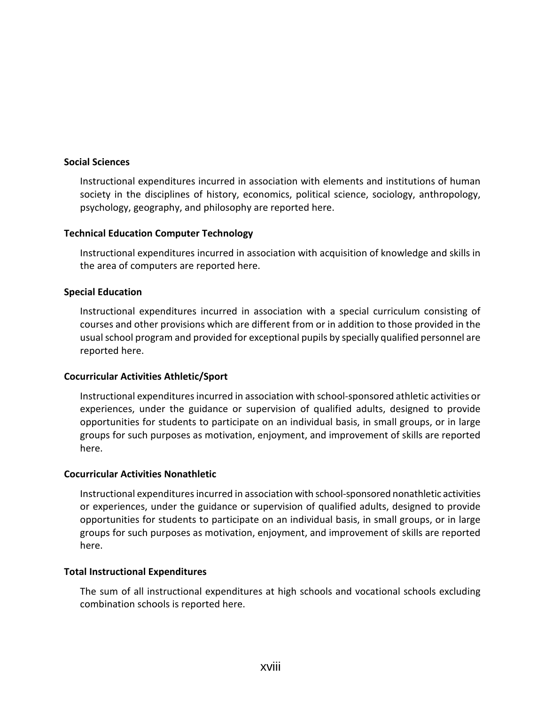#### **Social Sciences**

Instructional expenditures incurred in association with elements and institutions of human society in the disciplines of history, economics, political science, sociology, anthropology, psychology, geography, and philosophy are reported here.

# **Technical Education Computer Technology**

Instructional expenditures incurred in association with acquisition of knowledge and skills in the area of computers are reported here.

# **Special Education**

Instructional expenditures incurred in association with a special curriculum consisting of courses and other provisions which are different from or in addition to those provided in the usual school program and provided for exceptional pupils by specially qualified personnel are reported here.

# **Cocurricular Activities Athletic/Sport**

Instructional expenditures incurred in association with school-sponsored athletic activities or experiences, under the guidance or supervision of qualified adults, designed to provide opportunities for students to participate on an individual basis, in small groups, or in large groups for such purposes as motivation, enjoyment, and improvement of skills are reported here.

#### **Cocurricular Activities Nonathletic**

Instructional expenditures incurred in association with school-sponsored nonathletic activities or experiences, under the guidance or supervision of qualified adults, designed to provide opportunities for students to participate on an individual basis, in small groups, or in large groups for such purposes as motivation, enjoyment, and improvement of skills are reported here.

#### **Total Instructional Expenditures**

The sum of all instructional expenditures at high schools and vocational schools excluding combination schools is reported here.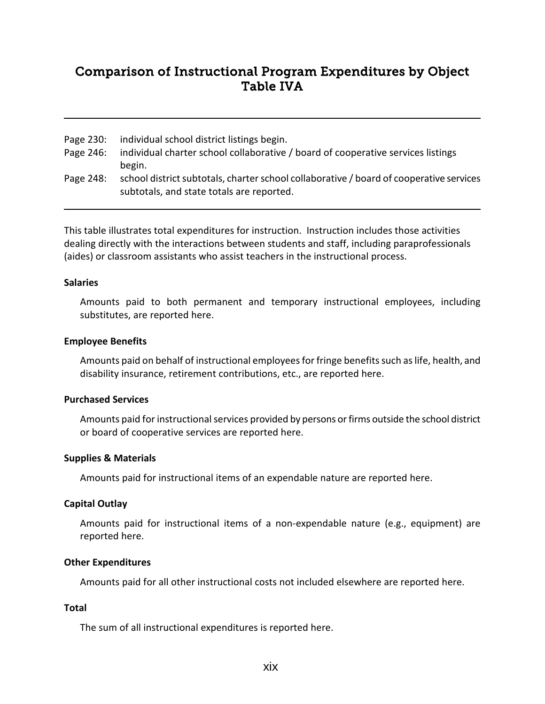# Comparison of Instructional Program Expenditures by Object Table IVA

- Page 230: individual school district listings begin.
- Page 246: individual charter school collaborative / board of cooperative services listings begin.
- Page 248: school district subtotals, charter school collaborative / board of cooperative services subtotals, and state totals are reported.

This table illustrates total expenditures for instruction. Instruction includes those activities dealing directly with the interactions between students and staff, including paraprofessionals (aides) or classroom assistants who assist teachers in the instructional process.

#### **Salaries**

Amounts paid to both permanent and temporary instructional employees, including substitutes, are reported here.

#### **Employee Benefits**

Amounts paid on behalf of instructional employees for fringe benefits such as life, health, and disability insurance, retirement contributions, etc., are reported here.

#### **Purchased Services**

Amounts paid for instructional services provided by persons or firms outside the school district or board of cooperative services are reported here.

# **Supplies & Materials**

Amounts paid for instructional items of an expendable nature are reported here.

# **Capital Outlay**

Amounts paid for instructional items of a non-expendable nature (e.g., equipment) are reported here.

# **Other Expenditures**

Amounts paid for all other instructional costs not included elsewhere are reported here.

# **Total**

The sum of all instructional expenditures is reported here.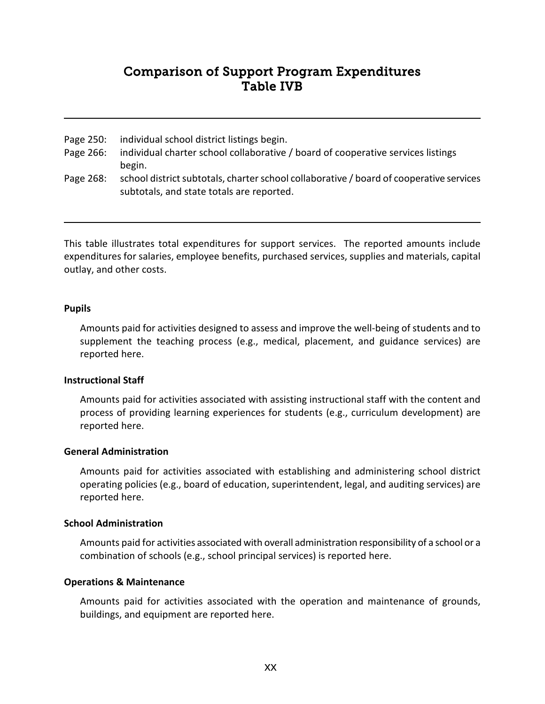# Comparison of Support Program Expenditures Table IVB

- Page 250: individual school district listings begin.
- Page 266: individual charter school collaborative / board of cooperative services listings begin.
- Page 268: school district subtotals, charter school collaborative / board of cooperative services subtotals, and state totals are reported.

This table illustrates total expenditures for support services. The reported amounts include expenditures for salaries, employee benefits, purchased services, supplies and materials, capital outlay, and other costs.

#### **Pupils**

Amounts paid for activities designed to assess and improve the well-being of students and to supplement the teaching process (e.g., medical, placement, and guidance services) are reported here.

# **Instructional Staff**

Amounts paid for activities associated with assisting instructional staff with the content and process of providing learning experiences for students (e.g., curriculum development) are reported here.

#### **General Administration**

Amounts paid for activities associated with establishing and administering school district operating policies (e.g., board of education, superintendent, legal, and auditing services) are reported here.

# **School Administration**

Amounts paid for activities associated with overall administration responsibility of a school or a combination of schools (e.g., school principal services) is reported here.

# **Operations & Maintenance**

Amounts paid for activities associated with the operation and maintenance of grounds, buildings, and equipment are reported here.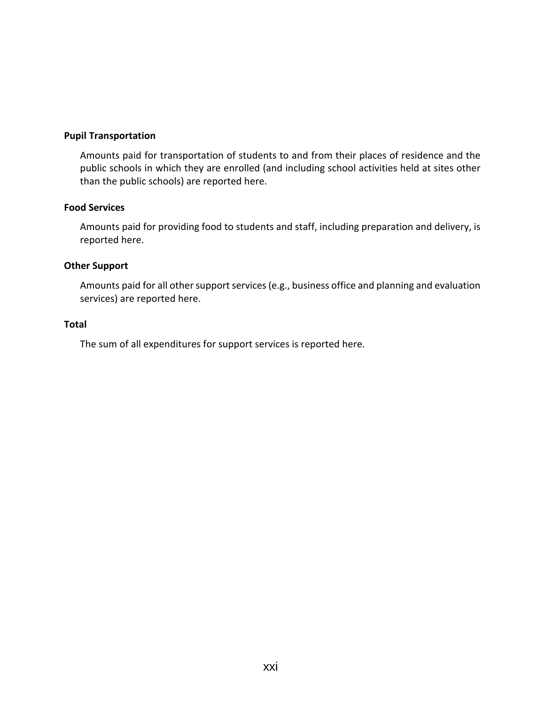#### **Pupil Transportation**

Amounts paid for transportation of students to and from their places of residence and the public schools in which they are enrolled (and including school activities held at sites other than the public schools) are reported here.

# **Food Services**

Amounts paid for providing food to students and staff, including preparation and delivery, is reported here.

# **Other Support**

Amounts paid for all other support services (e.g., business office and planning and evaluation services) are reported here.

### **Total**

The sum of all expenditures for support services is reported here.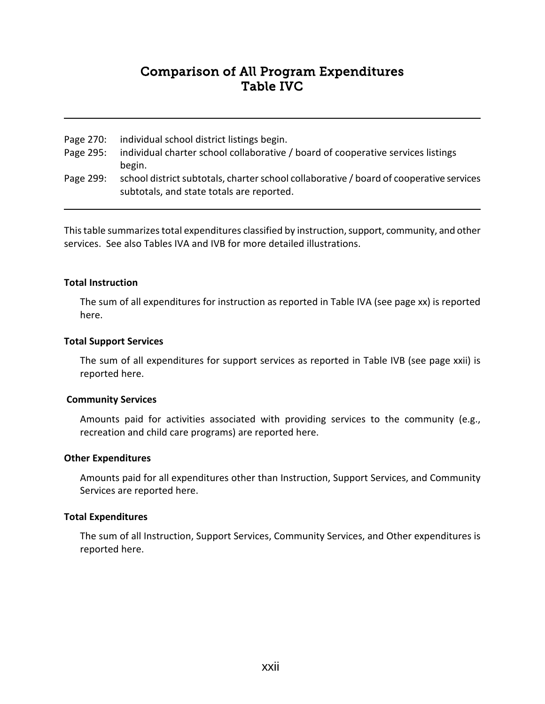# Comparison of All Program Expenditures Table IVC

- Page 270: individual school district listings begin.
- Page 295: individual charter school collaborative / board of cooperative services listings begin.
- Page 299: school district subtotals, charter school collaborative / board of cooperative services subtotals, and state totals are reported.

This table summarizes total expenditures classified by instruction, support, community, and other services. See also Tables IVA and IVB for more detailed illustrations.

#### **Total Instruction**

The sum of all expenditures for instruction as reported in Table IVA (see page xx) is reported here.

#### **Total Support Services**

The sum of all expenditures for support services as reported in Table IVB (see page xxii) is reported here.

#### **Community Services**

Amounts paid for activities associated with providing services to the community (e.g., recreation and child care programs) are reported here.

#### **Other Expenditures**

Amounts paid for all expenditures other than Instruction, Support Services, and Community Services are reported here.

#### **Total Expenditures**

The sum of all Instruction, Support Services, Community Services, and Other expenditures is reported here.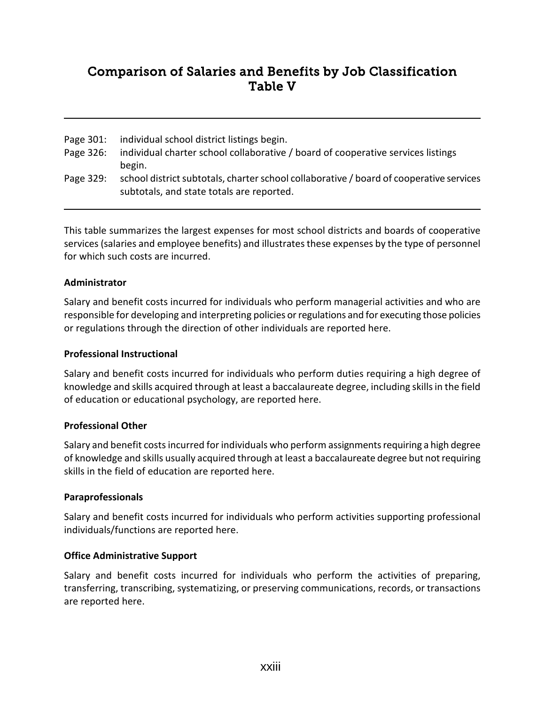# Comparison of Salaries and Benefits by Job Classification Table V

| Page 301: | individual school district listings begin. |  |  |  |
|-----------|--------------------------------------------|--|--|--|
|           |                                            |  |  |  |

- Page 326: individual charter school collaborative / board of cooperative services listings begin.
- Page 329: school district subtotals, charter school collaborative / board of cooperative services subtotals, and state totals are reported.

This table summarizes the largest expenses for most school districts and boards of cooperative services (salaries and employee benefits) and illustrates these expenses by the type of personnel for which such costs are incurred.

# **Administrator**

Salary and benefit costs incurred for individuals who perform managerial activities and who are responsible for developing and interpreting policies or regulations and for executing those policies or regulations through the direction of other individuals are reported here.

# **Professional Instructional**

Salary and benefit costs incurred for individuals who perform duties requiring a high degree of knowledge and skills acquired through at least a baccalaureate degree, including skills in the field of education or educational psychology, are reported here.

# **Professional Other**

Salary and benefit costs incurred for individuals who perform assignments requiring a high degree of knowledge and skills usually acquired through at least a baccalaureate degree but not requiring skills in the field of education are reported here.

# **Paraprofessionals**

Salary and benefit costs incurred for individuals who perform activities supporting professional individuals/functions are reported here.

# **Office Administrative Support**

Salary and benefit costs incurred for individuals who perform the activities of preparing, transferring, transcribing, systematizing, or preserving communications, records, or transactions are reported here.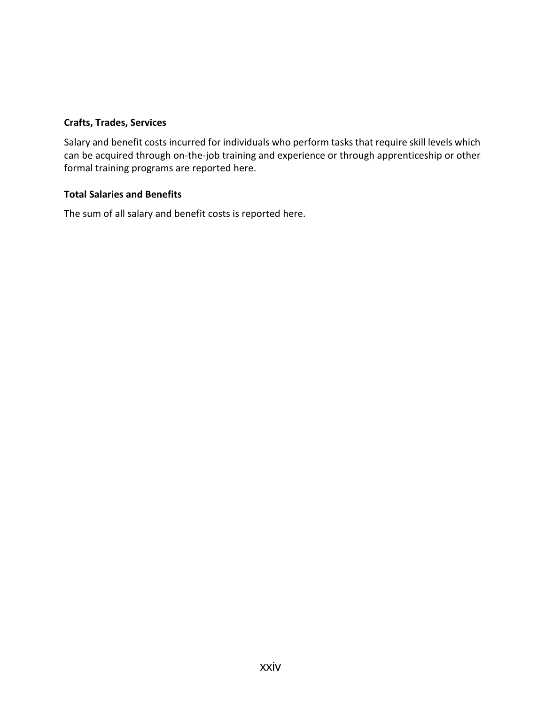# **Crafts, Trades, Services**

Salary and benefit costs incurred for individuals who perform tasks that require skill levels which can be acquired through on-the-job training and experience or through apprenticeship or other formal training programs are reported here.

# **Total Salaries and Benefits**

The sum of all salary and benefit costs is reported here.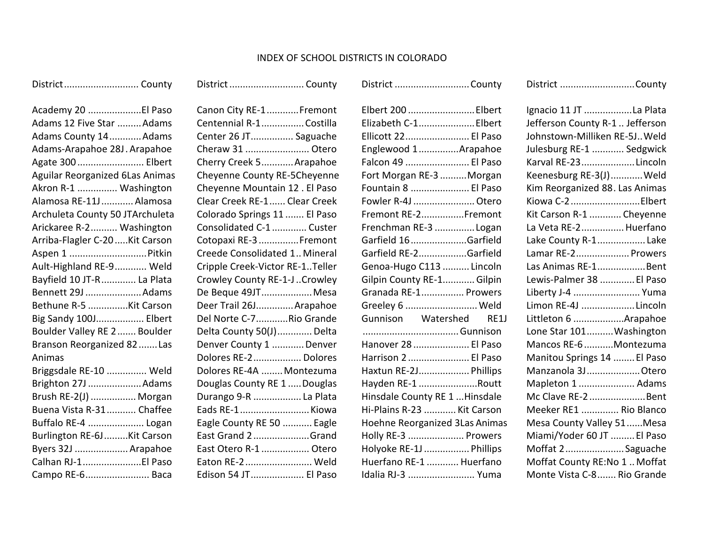#### INDEX OF SCHOOL DISTRICTS IN COLORADO

District............................ County

| Academy 20 El Paso                     |
|----------------------------------------|
| Adams 12 Five Star  Adams              |
| Adams County 14Adams                   |
| Adams-Arapahoe 28J. Arapahoe           |
| Agate 300  Elbert                      |
| <b>Aguilar Reorganized 6Las Animas</b> |
| Akron R-1  Washington                  |
| Alamosa RE-11J  Alamosa                |
| Archuleta County 50 JTArchuleta        |
| Arickaree R-2 Washington               |
| Arriba-Flagler C-20  Kit Carson        |
| Aspen 1  Pitkin                        |
| Ault-Highland RE-9 Weld                |
| Bayfield 10 JT-R  La Plata             |
| Bennett 29J Adams                      |
| Bethune R-5 Kit Carson                 |
| Big Sandy 100J Elbert                  |
| Boulder Valley RE 2  Boulder           |
| Branson Reorganized 82  Las            |
| Animas                                 |
| Briggsdale RE-10  Weld                 |
| Brighton 27J Adams                     |
| Brush RE-2(J)  Morgan                  |
| Buena Vista R-31 Chaffee               |
| Buffalo RE-4  Logan                    |
| Burlington RE-6J Kit Carson            |
| Byers 32J  Arapahoe                    |
| Calhan RJ-1El Paso                     |
| Campo RE-6 Baca                        |
|                                        |

Canon City RE-1............Fremont Centennial R-1................Costilla Center 26 JT................ Saguache Cheraw 31 ........................ Otero Cherry Creek 5............Arapahoe Cheyenne County RE-5Cheyenne Cheyenne Mountain 12 . El Paso Clear Creek RE-1...... Clear Creek Colorado Springs 11 ....... El Paso Consolidated C-1............. Custer Cotopaxi RE-3...............Fremont Creede Consolidated 1.. Mineral Cripple Creek-Victor RE-1..Teller Crowley County RE-1-J..Crowley De Beque 49JT...................Mesa Deer Trail 26J..............Arapahoe Del Norte C-7............Rio Grande Delta County 50(J)............. Delta Denver County 1 ............ Denver Dolores RE-2.................. Dolores Dolores RE-4A ........ Montezuma Douglas County RE 1 .....Douglas Durango 9-R .................. La Plata Eads RE-1..........................Kiowa Eagle County RE 50 ........... Eagle East Grand 2.....................Grand East Otero R-1 .................. Otero Eaton RE-2......................... Weld Edison 54 JT.................... El Paso

District................................. County

| Elbert 200  Elbert             |  |
|--------------------------------|--|
| Elizabeth C-1 Elbert           |  |
| Ellicott 22 El Paso            |  |
| Englewood 1Arapahoe            |  |
| Falcon 49  El Paso             |  |
| Fort Morgan RE-3 Morgan        |  |
| Fountain 8  El Paso            |  |
| Fowler R-4J  Otero             |  |
| Fremont RE-2Fremont            |  |
| Frenchman RE-3 Logan           |  |
| Garfield 16Garfield            |  |
| Garfield RE-2Garfield          |  |
| Genoa-Hugo C113  Lincoln       |  |
| Gilpin County RE-1Gilpin       |  |
| Granada RE-1 Prowers           |  |
| Greeley 6  Weld                |  |
| Gunnison Watershed RE1J        |  |
| Gunnison                       |  |
| Hanover 28  El Paso            |  |
| Harrison 2 El Paso             |  |
| Haxtun RE-2J Phillips          |  |
| Hayden RE-1 Routt              |  |
| Hinsdale County RE 1  Hinsdale |  |
| Hi-Plains R-23  Kit Carson     |  |
| Hoehne Reorganized 3Las Animas |  |
| Holly RE-3  Prowers            |  |
| Holyoke RE-1J  Phillips        |  |
| Huerfano RE-1  Huerfano        |  |
| Idalia RJ-3  Yuma              |  |

District ............................County

District ............................County

| Ignacio 11 JT La Plata          |
|---------------------------------|
| Jefferson County R-1  Jefferson |
| Johnstown-Milliken RE-5J Weld   |
| Julesburg RE-1  Sedgwick        |
| Karval RE-23Lincoln             |
| Keenesburg RE-3(J)Weld          |
| Kim Reorganized 88. Las Animas  |
| Kiowa C-2Elbert                 |
| Kit Carson R-1  Cheyenne        |
| La Veta RE-2 Huerfano           |
| Lake County R-1Lake             |
| Lamar RE-2 Prowers              |
| Las Animas RE-1Bent             |
| Lewis-Palmer 38  El Paso        |
| Liberty J-4  Yuma               |
| Limon RE-4J Lincoln             |
| Littleton 6 Arapahoe            |
| Lone Star 101 Washington        |
| Mancos RE-6 Montezuma           |
| Manitou Springs 14  El Paso     |
| Manzanola 3J Otero              |
| Mapleton 1  Adams               |
| Mc Clave RE-2 Bent              |
| Meeker RE1  Rio Blanco          |
| Mesa County Valley 51Mesa       |
| Miami/Yoder 60 JT  El Paso      |
| Moffat 2Saguache                |
| Moffat County RE:No 1  Moffat   |
| Monte Vista C-8  Rio Grande     |